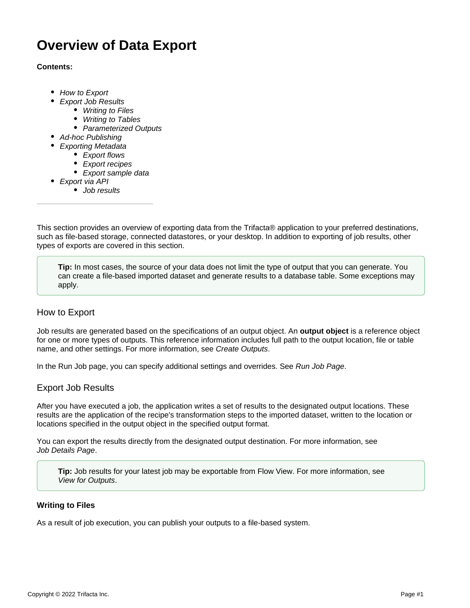# **Overview of Data Export**

## **Contents:**

- [How to Export](#page-0-0)
	- [Export Job Results](#page-0-1)
		- [Writing to Files](#page-0-2)
		- [Writing to Tables](#page-1-0)
		- [Parameterized Outputs](#page-1-1)
- [Ad-hoc Publishing](#page-2-0)
	- [Exporting Metadata](#page-2-1)
		- [Export flows](#page-2-2)
		- [Export recipes](#page-2-3)
		- [Export sample data](#page-3-0)
- [Export via API](#page-3-1)
	- [Job results](#page-3-2)

This section provides an overview of exporting data from the Trifacta® application to your preferred destinations, such as file-based storage, connected datastores, or your desktop. In addition to exporting of job results, other types of exports are covered in this section.

**Tip:** In most cases, the source of your data does not limit the type of output that you can generate. You can create a file-based imported dataset and generate results to a database table. Some exceptions may apply.

# <span id="page-0-0"></span>How to Export

Job results are generated based on the specifications of an output object. An **output object** is a reference object for one or more types of outputs. This reference information includes full path to the output location, file or table name, and other settings. For more information, see [Create Outputs](https://docs.trifacta.com/display/AWS/Create+Outputs).

In the Run Job page, you can specify additional settings and overrides. See [Run Job Page](https://docs.trifacta.com/display/AWS/Run+Job+Page).

# <span id="page-0-1"></span>Export Job Results

After you have executed a job, the application writes a set of results to the designated output locations. These results are the application of the recipe's transformation steps to the imported dataset, written to the location or locations specified in the output object in the specified output format.

You can export the results directly from the designated output destination. For more information, see [Job Details Page](https://docs.trifacta.com/display/AWS/Job+Details+Page).

**Tip:** Job results for your latest job may be exportable from Flow View. For more information, see [View for Outputs](https://docs.trifacta.com/display/AWS/View+for+Outputs).

# <span id="page-0-2"></span>**Writing to Files**

As a result of job execution, you can publish your outputs to a file-based system.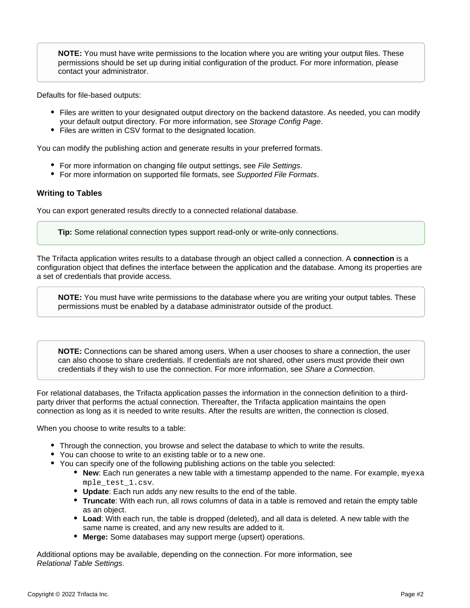**NOTE:** You must have write permissions to the location where you are writing your output files. These permissions should be set up during initial configuration of the product. For more information, please contact your administrator.

Defaults for file-based outputs:

- Files are written to your designated output directory on the backend datastore. As needed, you can modify your default output directory. For more information, see [Storage Config Page](https://docs.trifacta.com/display/AWS/Storage+Config+Page).
- Files are written in CSV format to the designated location.

You can modify the publishing action and generate results in your preferred formats.

- For more information on changing file output settings, see [File Settings](https://docs.trifacta.com/display/AWS/File+Settings).
- For more information on supported file formats, see [Supported File Formats](https://docs.trifacta.com/display/AWS/Supported+File+Formats).

# <span id="page-1-0"></span>**Writing to Tables**

You can export generated results directly to a connected relational database.

**Tip:** Some relational connection types support read-only or write-only connections.

The Trifacta application writes results to a database through an object called a connection. A **connection** is a configuration object that defines the interface between the application and the database. Among its properties are a set of credentials that provide access.

**NOTE:** You must have write permissions to the database where you are writing your output tables. These permissions must be enabled by a database administrator outside of the product.

**NOTE:** Connections can be shared among users. When a user chooses to share a connection, the user can also choose to share credentials. If credentials are not shared, other users must provide their own credentials if they wish to use the connection. For more information, see [Share a Connection](https://docs.trifacta.com/display/AWS/Share+a+Connection).

For relational databases, the Trifacta application passes the information in the connection definition to a thirdparty driver that performs the actual connection. Thereafter, the Trifacta application maintains the open connection as long as it is needed to write results. After the results are written, the connection is closed.

When you choose to write results to a table:

- Through the connection, you browse and select the database to which to write the results.
- You can choose to write to an existing table or to a new one.
- You can specify one of the following publishing actions on the table you selected:
	- **New**: Each run generates a new table with a timestamp appended to the name. For example, myexa mple\_test\_1.csv.
	- **Update**: Each run adds any new results to the end of the table.
	- **Truncate**: With each run, all rows columns of data in a table is removed and retain the empty table as an object.
	- **Load**: With each run, the table is dropped (deleted), and all data is deleted. A new table with the same name is created, and any new results are added to it.
	- **Merge:** Some databases may support merge (upsert) operations.

<span id="page-1-1"></span>Additional options may be available, depending on the connection. For more information, see [Relational Table Settings](https://docs.trifacta.com/display/AWS/Relational+Table+Settings).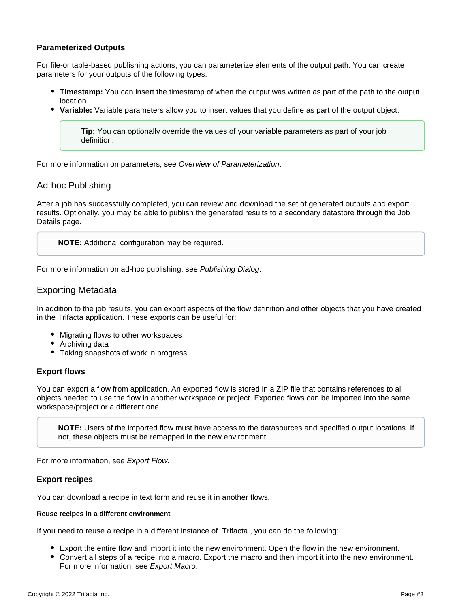# **Parameterized Outputs**

For file-or table-based publishing actions, you can parameterize elements of the output path. You can create parameters for your outputs of the following types:

- **Timestamp:** You can insert the timestamp of when the output was written as part of the path to the output location.
- **Variable:** Variable parameters allow you to insert values that you define as part of the output object.

**Tip:** You can optionally override the values of your variable parameters as part of your job definition.

For more information on parameters, see [Overview of Parameterization](https://docs.trifacta.com/display/AWS/Overview+of+Parameterization).

# <span id="page-2-0"></span>Ad-hoc Publishing

After a job has successfully completed, you can review and download the set of generated outputs and export results. Optionally, you may be able to publish the generated results to a secondary datastore through the Job Details page.

**NOTE:** Additional configuration may be required.

For more information on ad-hoc publishing, see [Publishing Dialog](https://docs.trifacta.com/display/AWS/Publishing+Dialog).

# <span id="page-2-1"></span>Exporting Metadata

In addition to the job results, you can export aspects of the flow definition and other objects that you have created in the Trifacta application. These exports can be useful for:

- Migrating flows to other workspaces
- Archiving data
- Taking snapshots of work in progress

#### <span id="page-2-2"></span>**Export flows**

You can export a flow from application. An exported flow is stored in a ZIP file that contains references to all objects needed to use the flow in another workspace or project. Exported flows can be imported into the same workspace/project or a different one.

**NOTE:** Users of the imported flow must have access to the datasources and specified output locations. If not, these objects must be remapped in the new environment.

For more information, see [Export Flow](https://docs.trifacta.com/display/AWS/Export+Flow).

# <span id="page-2-3"></span>**Export recipes**

You can download a recipe in text form and reuse it in another flows.

#### **Reuse recipes in a different environment**

If you need to reuse a recipe in a different instance of Trifacta , you can do the following:

- Export the entire flow and import it into the new environment. Open the flow in the new environment.
- Convert all steps of a recipe into a macro. Export the macro and then import it into the new environment. For more information, see [Export Macro](https://docs.trifacta.com/display/AWS/Export+Macro).